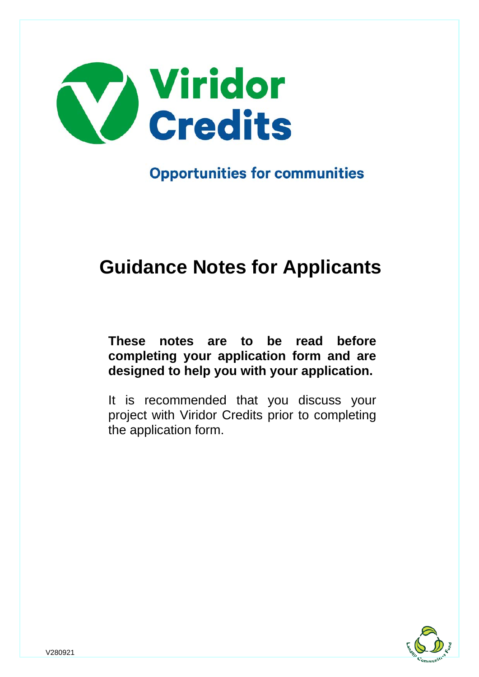

**Opportunities for communities** 

# **Guidance Notes for Applicants**

# **These notes are to be read before completing your application form and are designed to help you with your application.**

It is recommended that you discuss your project with Viridor Credits prior to completing the application form.

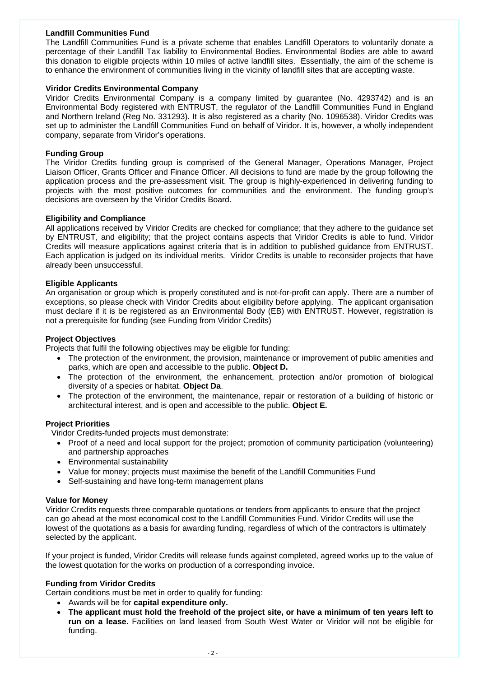# **Landfill Communities Fund**

The Landfill Communities Fund is a private scheme that enables Landfill Operators to voluntarily donate a percentage of their Landfill Tax liability to Environmental Bodies. Environmental Bodies are able to award this donation to eligible projects within 10 miles of active landfill sites. Essentially, the aim of the scheme is to enhance the environment of communities living in the vicinity of landfill sites that are accepting waste.

#### **Viridor Credits Environmental Company**

Viridor Credits Environmental Company is a company limited by guarantee (No. 4293742) and is an Environmental Body registered with ENTRUST, the regulator of the Landfill Communities Fund in England and Northern Ireland (Reg No. 331293). It is also registered as a charity (No. 1096538). Viridor Credits was set up to administer the Landfill Communities Fund on behalf of Viridor. It is, however, a wholly independent company, separate from Viridor's operations.

# **Funding Group**

The Viridor Credits funding group is comprised of the General Manager, Operations Manager, Project Liaison Officer, Grants Officer and Finance Officer. All decisions to fund are made by the group following the application process and the pre-assessment visit. The group is highly-experienced in delivering funding to projects with the most positive outcomes for communities and the environment. The funding group's decisions are overseen by the Viridor Credits Board.

# **Eligibility and Compliance**

All applications received by Viridor Credits are checked for compliance; that they adhere to the guidance set by ENTRUST, and eligibility; that the project contains aspects that Viridor Credits is able to fund. Viridor Credits will measure applications against criteria that is in addition to published guidance from ENTRUST. Each application is judged on its individual merits. Viridor Credits is unable to reconsider projects that have already been unsuccessful.

# **Eligible Applicants**

An organisation or group which is properly constituted and is not-for-profit can apply. There are a number of exceptions, so please check with Viridor Credits about eligibility before applying. The applicant organisation must declare if it is be registered as an Environmental Body (EB) with ENTRUST. However, registration is not a prerequisite for funding (see Funding from Viridor Credits)

# **Project Objectives**

Projects that fulfil the following objectives may be eligible for funding:

- The protection of the environment, the provision, maintenance or improvement of public amenities and parks, which are open and accessible to the public. **Object D.**
- The protection of the environment, the enhancement, protection and/or promotion of biological diversity of a species or habitat. **Object Da**.
- The protection of the environment, the maintenance, repair or restoration of a building of historic or architectural interest, and is open and accessible to the public. **Object E.**

#### **Project Priorities**

Viridor Credits-funded projects must demonstrate:

- Proof of a need and local support for the project; promotion of community participation (volunteering) and partnership approaches
- Environmental sustainability
- Value for money: projects must maximise the benefit of the Landfill Communities Fund
- Self-sustaining and have long-term management plans

#### **Value for Money**

Viridor Credits requests three comparable quotations or tenders from applicants to ensure that the project can go ahead at the most economical cost to the Landfill Communities Fund. Viridor Credits will use the lowest of the quotations as a basis for awarding funding, regardless of which of the contractors is ultimately selected by the applicant.

If your project is funded, Viridor Credits will release funds against completed, agreed works up to the value of the lowest quotation for the works on production of a corresponding invoice.

#### **Funding from Viridor Credits**

Certain conditions must be met in order to qualify for funding:

- Awards will be for **capital expenditure only.**
- **The applicant must hold the freehold of the project site, or have a minimum of ten years left to run on a lease.** Facilities on land leased from South West Water or Viridor will not be eligible for funding.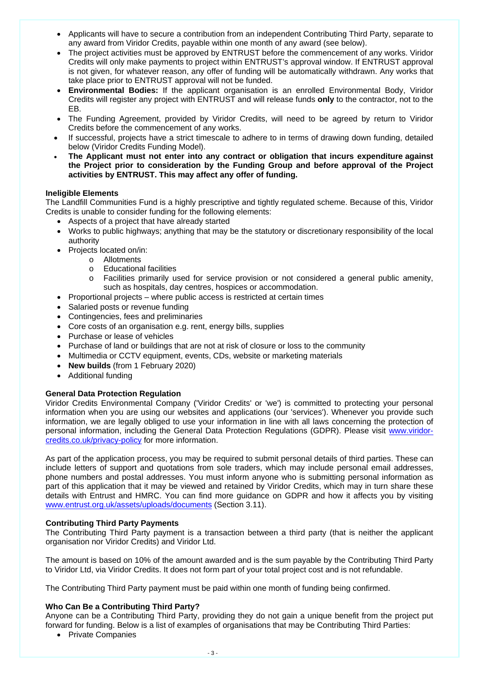- Applicants will have to secure a contribution from an independent Contributing Third Party, separate to any award from Viridor Credits, payable within one month of any award (see below).
- The project activities must be approved by ENTRUST before the commencement of any works. Viridor Credits will only make payments to project within ENTRUST's approval window. If ENTRUST approval is not given, for whatever reason, any offer of funding will be automatically withdrawn. Any works that take place prior to ENTRUST approval will not be funded.
- **Environmental Bodies:** If the applicant organisation is an enrolled Environmental Body, Viridor Credits will register any project with ENTRUST and will release funds **only** to the contractor, not to the EB.
- The Funding Agreement, provided by Viridor Credits, will need to be agreed by return to Viridor Credits before the commencement of any works.
- If successful, projects have a strict timescale to adhere to in terms of drawing down funding, detailed below (Viridor Credits Funding Model).
- **The Applicant must not enter into any contract or obligation that incurs expenditure against the Project prior to consideration by the Funding Group and before approval of the Project activities by ENTRUST. This may affect any offer of funding.**

# **Ineligible Elements**

The Landfill Communities Fund is a highly prescriptive and tightly regulated scheme. Because of this, Viridor Credits is unable to consider funding for the following elements:

- Aspects of a project that have already started
- Works to public highways; anything that may be the statutory or discretionary responsibility of the local authority
- Projects located on/in:
	- o Allotments
	- o Educational facilities
	- o Facilities primarily used for service provision or not considered a general public amenity, such as hospitals, day centres, hospices or accommodation.
- Proportional projects where public access is restricted at certain times
- Salaried posts or revenue funding
- Contingencies, fees and preliminaries
- Core costs of an organisation e.g. rent, energy bills, supplies
- Purchase or lease of vehicles
- Purchase of land or buildings that are not at risk of closure or loss to the community
- Multimedia or CCTV equipment, events, CDs, website or marketing materials
- **New builds** (from 1 February 2020)
- Additional funding

# **General Data Protection Regulation**

Viridor Credits Environmental Company ('Viridor Credits' or 'we') is committed to protecting your personal information when you are using our websites and applications (our 'services'). Whenever you provide such information, we are legally obliged to use your information in line with all laws concerning the protection of personal information, including the General Data Protection Regulations (GDPR). Please visit [www.viridor](http://www.viridor-credits.co.uk/privacy-policy)[credits.co.uk/privacy-policy](http://www.viridor-credits.co.uk/privacy-policy) for more information.

As part of the application process, you may be required to submit personal details of third parties. These can include letters of support and quotations from sole traders, which may include personal email addresses, phone numbers and postal addresses. You must inform anyone who is submitting personal information as part of this application that it may be viewed and retained by Viridor Credits, which may in turn share these details with Entrust and HMRC. You can find more guidance on GDPR and how it affects you by visiting [www.entrust.org.uk/assets/uploads/documents](http://www.entrust.org.uk/assets/uploads/documents) (Section 3.11).

# **Contributing Third Party Payments**

The Contributing Third Party payment is a transaction between a third party (that is neither the applicant organisation nor Viridor Credits) and Viridor Ltd.

The amount is based on 10% of the amount awarded and is the sum payable by the Contributing Third Party to Viridor Ltd, via Viridor Credits. It does not form part of your total project cost and is not refundable.

The Contributing Third Party payment must be paid within one month of funding being confirmed.

# **Who Can Be a Contributing Third Party?**

Anyone can be a Contributing Third Party, providing they do not gain a unique benefit from the project put forward for funding. Below is a list of examples of organisations that may be Contributing Third Parties:

• Private Companies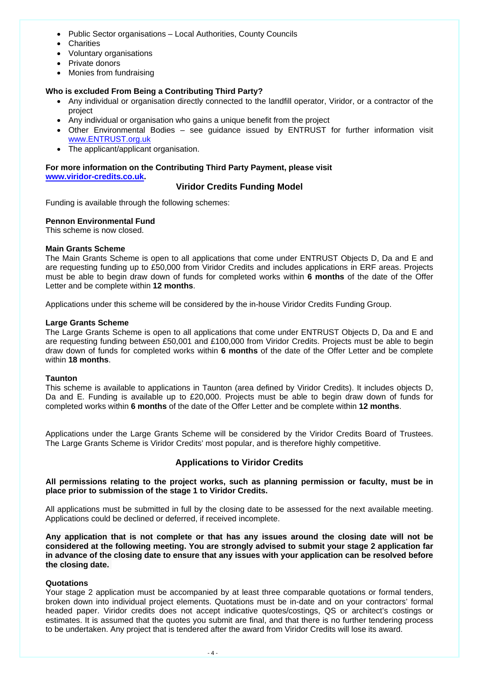- Public Sector organisations Local Authorities, County Councils
- Charities
- Voluntary organisations
- Private donors
- Monies from fundraising

# **Who is excluded From Being a Contributing Third Party?**

- Any individual or organisation directly connected to the landfill operator, Viridor, or a contractor of the project
- Any individual or organisation who gains a unique benefit from the project
- Other Environmental Bodies see guidance issued by ENTRUST for further information visit [www.ENTRUST.org.uk](http://www.entrust.org.uk/)
- The applicant/applicant organisation.

**For more information on the Contributing Third Party Payment, please visit [www.viridor-credits.co.uk.](https://www.viridor-credits.co.uk/apply-funding/contributing-third-party)**

# **Viridor Credits Funding Model**

Funding is available through the following schemes:

#### **Pennon Environmental Fund**

This scheme is now closed.

#### **Main Grants Scheme**

The Main Grants Scheme is open to all applications that come under ENTRUST Objects D, Da and E and are requesting funding up to £50,000 from Viridor Credits and includes applications in ERF areas. Projects must be able to begin draw down of funds for completed works within **6 months** of the date of the Offer Letter and be complete within **12 months**.

Applications under this scheme will be considered by the in-house Viridor Credits Funding Group.

#### **Large Grants Scheme**

The Large Grants Scheme is open to all applications that come under ENTRUST Objects D, Da and E and are requesting funding between £50,001 and £100,000 from Viridor Credits. Projects must be able to begin draw down of funds for completed works within **6 months** of the date of the Offer Letter and be complete within **18 months**.

#### **Taunton**

This scheme is available to applications in Taunton (area defined by Viridor Credits). It includes objects D, Da and E. Funding is available up to £20,000. Projects must be able to begin draw down of funds for completed works within **6 months** of the date of the Offer Letter and be complete within **12 months**.

Applications under the Large Grants Scheme will be considered by the Viridor Credits Board of Trustees. The Large Grants Scheme is Viridor Credits' most popular, and is therefore highly competitive.

# **Applications to Viridor Credits**

# **All permissions relating to the project works, such as planning permission or faculty, must be in place prior to submission of the stage 1 to Viridor Credits.**

All applications must be submitted in full by the closing date to be assessed for the next available meeting. Applications could be declined or deferred, if received incomplete.

**Any application that is not complete or that has any issues around the closing date will not be considered at the following meeting. You are strongly advised to submit your stage 2 application far** in advance of the closing date to ensure that any issues with your application can be resolved before **the closing date.**

#### **Quotations**

Your stage 2 application must be accompanied by at least three comparable quotations or formal tenders, broken down into individual project elements. Quotations must be in-date and on your contractors' formal headed paper. Viridor credits does not accept indicative quotes/costings, QS or architect's costings or estimates. It is assumed that the quotes you submit are final, and that there is no further tendering process to be undertaken. Any project that is tendered after the award from Viridor Credits will lose its award.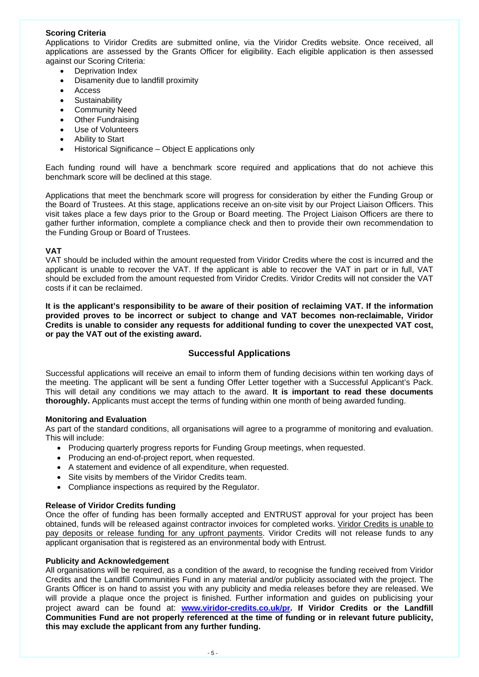# **Scoring Criteria**

Applications to Viridor Credits are submitted online, via the Viridor Credits website. Once received, all applications are assessed by the Grants Officer for eligibility. Each eligible application is then assessed against our Scoring Criteria:

- Deprivation Index
- Disamenity due to landfill proximity
- Access
- Sustainability
- Community Need
- Other Fundraising
- Use of Volunteers
- Ability to Start
- Historical Significance Object E applications only

Each funding round will have a benchmark score required and applications that do not achieve this benchmark score will be declined at this stage.

Applications that meet the benchmark score will progress for consideration by either the Funding Group or the Board of Trustees. At this stage, applications receive an on-site visit by our Project Liaison Officers. This visit takes place a few days prior to the Group or Board meeting. The Project Liaison Officers are there to gather further information, complete a compliance check and then to provide their own recommendation to the Funding Group or Board of Trustees.

# **VAT**

VAT should be included within the amount requested from Viridor Credits where the cost is incurred and the applicant is unable to recover the VAT. If the applicant is able to recover the VAT in part or in full, VAT should be excluded from the amount requested from Viridor Credits. Viridor Credits will not consider the VAT costs if it can be reclaimed.

**It is the applicant's responsibility to be aware of their position of reclaiming VAT. If the information provided proves to be incorrect or subject to change and VAT becomes non-reclaimable, Viridor Credits is unable to consider any requests for additional funding to cover the unexpected VAT cost, or pay the VAT out of the existing award.**

# **Successful Applications**

Successful applications will receive an email to inform them of funding decisions within ten working days of the meeting. The applicant will be sent a funding Offer Letter together with a Successful Applicant's Pack. This will detail any conditions we may attach to the award. **It is important to read these documents thoroughly.** Applicants must accept the terms of funding within one month of being awarded funding.

#### **Monitoring and Evaluation**

As part of the standard conditions, all organisations will agree to a programme of monitoring and evaluation. This will include:

- Producing quarterly progress reports for Funding Group meetings, when requested.
- Producing an end-of-project report, when requested.
- A statement and evidence of all expenditure, when requested.
- Site visits by members of the Viridor Credits team.
- Compliance inspections as required by the Regulator.

#### **Release of Viridor Credits funding**

Once the offer of funding has been formally accepted and ENTRUST approval for your project has been obtained, funds will be released against contractor invoices for completed works. Viridor Credits is unable to pay deposits or release funding for any upfront payments. Viridor Credits will not release funds to any applicant organisation that is registered as an environmental body with Entrust.

#### **Publicity and Acknowledgement**

All organisations will be required, as a condition of the award, to recognise the funding received from Viridor Credits and the Landfill Communities Fund in any material and/or publicity associated with the project. The Grants Officer is on hand to assist you with any publicity and media releases before they are released. We will provide a plaque once the project is finished. Further information and guides on publicising your project award can be found at: **[www.viridor-credits.co.uk/pr.](http://www.viridor-credits.co.uk/pr) If Viridor Credits or the Landfill Communities Fund are not properly referenced at the time of funding or in relevant future publicity, this may exclude the applicant from any further funding.**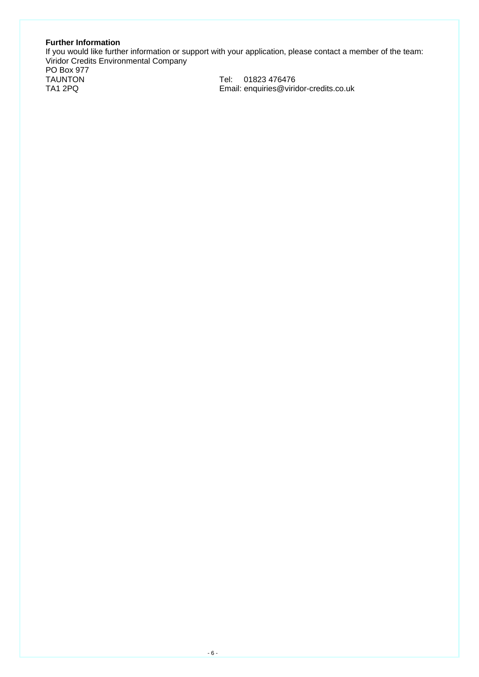# **Further Information**

If you would like further information or support with your application, please contact a member of the team: Viridor Credits Environmental Company

PO Box 977

TAUNTON<br>Tel: 01823 476476<br>TA1 2PQ Email: enquiries@virio Email: enquiries@viridor-credits.co.uk